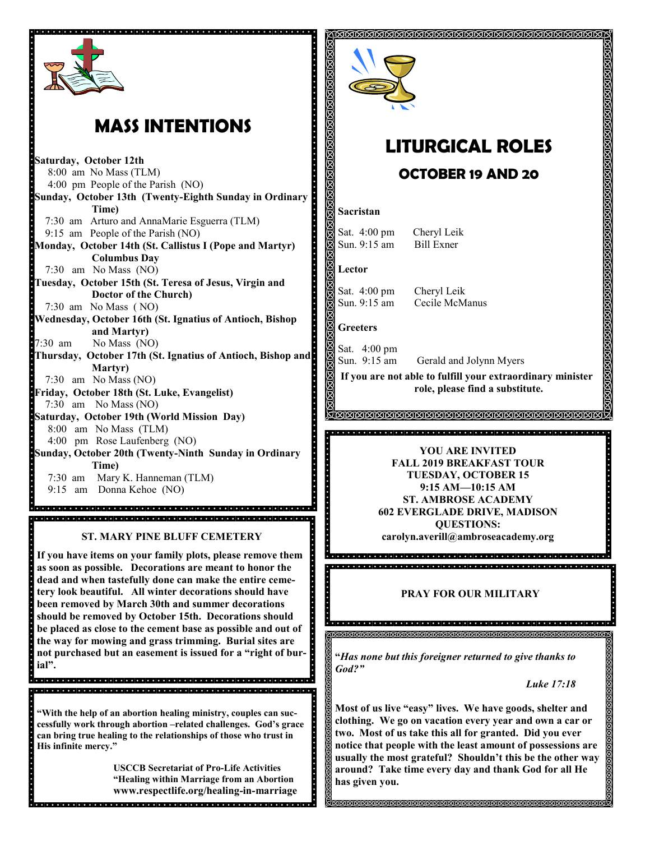

# **MASS INTENTIONS**

**Saturday, October 12th<br>Brack Annual No Mass (TI)** 8:00 am No Mass (TLM) 4:00 pm People of the Parish (NO) **Sunday, October 13th (Twenty-Eighth Sunday in Ordinary Time)** 7:30 am Arturo and AnnaMarie Esguerra (TLM) 9:15 am People of the Parish (NO) **Monday, October 14th (St. Callistus I (Pope and Martyr) Columbus Day** 7:30 am No Mass (NO) **Tuesday, October 15th (St. Teresa of Jesus, Virgin and Doctor of the Church)** 7:30 am No Mass ( NO) **Wednesday, October 16th (St. Ignatius of Antioch, Bishop and Martyr)** 7:30 am No Mass (NO) **Thursday, October 17th (St. Ignatius of Antioch, Bishop and Martyr)** 7:30 am No Mass (NO) **Friday, October 18th (St. Luke, Evangelist)** 7:30 am No Mass (NO) **Saturday, October 19th (World Mission Day)** 8:00 am No Mass (TLM) 4:00 pm Rose Laufenberg (NO) **Sunday, October 20th (Twenty-Ninth Sunday in Ordinary Time)**  7:30 am Mary K. Hanneman (TLM) 9:15 am Donna Kehoe (NO)

**If you have items on your family plots, please remove them as soon as possible. Decorations are meant to honor the dead and when tastefully done can make the entire cemetery look beautiful. All winter decorations should have been removed by March 30th and summer decorations should be removed by October 15th. Decorations should be placed as close to the cement base as possible and out of the way for mowing and grass trimming. Burial sites are not purchased but an easement is issued for a "right of burial".** 

**"With the help of an abortion healing ministry, couples can successfully work through abortion –related challenges. God's grace can bring true healing to the relationships of those who trust in His infinite mercy."** 

> **USCCB Secretariat of Pro-Life Activities "Healing within Marriage from an Abortion www.respectlife.org/healing-in-marriage**

. . . . . . . . . . . . . . . . . . .



# **LITURGICAL ROLES OCTOBER 19 AND 20**

### **Sacristan**

Sat. 4:00 pm Cheryl Leik Sun. 9:15 am Bill Exner

**Lector**

Sat. 4:00 pm Cheryl Leik

Sun. 9:15 am Cecile McManus

### **Greeters**

Sat. 4:00 pm Gerald and Jolynn Myers Sun. 9:15 am

**If you are not able to fulfill your extraordinary minister role, please find a substitute.** 

### <u> MMNMMMMMMMMMMMMMMMMMM</u>

### **YOU ARE INVITED FALL 2019 BREAKFAST TOUR TUESDAY, OCTOBER 15 9:15 AM—10:15 AM ST. AMBROSE ACADEMY 602 EVERGLADE DRIVE, MADISON QUESTIONS: ST. MARY PINE BLUFF CEMETERY carolyn.averill@ambroseacademy.org**

### **PRAY FOR OUR MILITARY**

un altara de la construction de la companya de la construction de la companya de la companya de la companya de<br>De la companya de la companya de la companya de la companya de la companya de la companya de la companya de la

**"***Has none but this foreigner returned to give thanks to God?"*

*Luke 17:18*

**Most of us live "easy" lives. We have goods, shelter and clothing. We go on vacation every year and own a car or two. Most of us take this all for granted. Did you ever notice that people with the least amount of possessions are usually the most grateful? Shouldn't this be the other way around? Take time every day and thank God for all He has given you.**